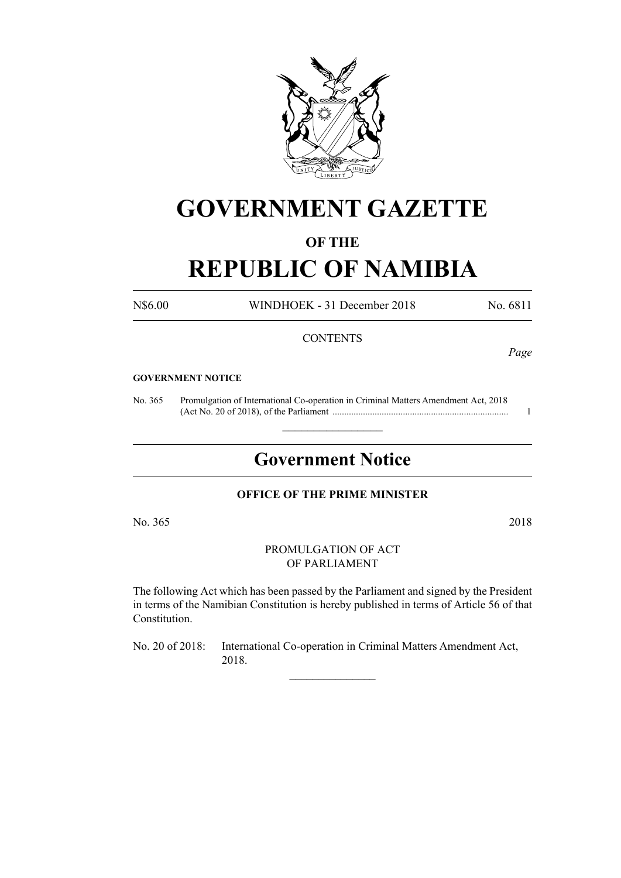

# **GOVERNMENT GAZETTE**

### **OF THE**

## **REPUBLIC OF NAMIBIA**

N\$6.00 WINDHOEK - 31 December 2018 No. 6811

#### **CONTENTS**

*Page*

#### **GOVERNMENT NOTICE**

No. 365 Promulgation of International Co-operation in Criminal Matters Amendment Act, 2018 (Act No. 20 of 2018), of the Parliament ........................................................................... 1

## **Government Notice**

 $\frac{1}{2}$  ,  $\frac{1}{2}$  ,  $\frac{1}{2}$  ,  $\frac{1}{2}$  ,  $\frac{1}{2}$  ,  $\frac{1}{2}$  ,  $\frac{1}{2}$ 

#### **OFFICE OF THE PRIME MINISTER**

No. 365 2018

PROMULGATION OF ACT OF PARLIAMENT

The following Act which has been passed by the Parliament and signed by the President in terms of the Namibian Constitution is hereby published in terms of Article 56 of that Constitution.

No. 20 of 2018: International Co-operation in Criminal Matters Amendment Act, 2018.

 $\overline{\phantom{a}}$  , where  $\overline{\phantom{a}}$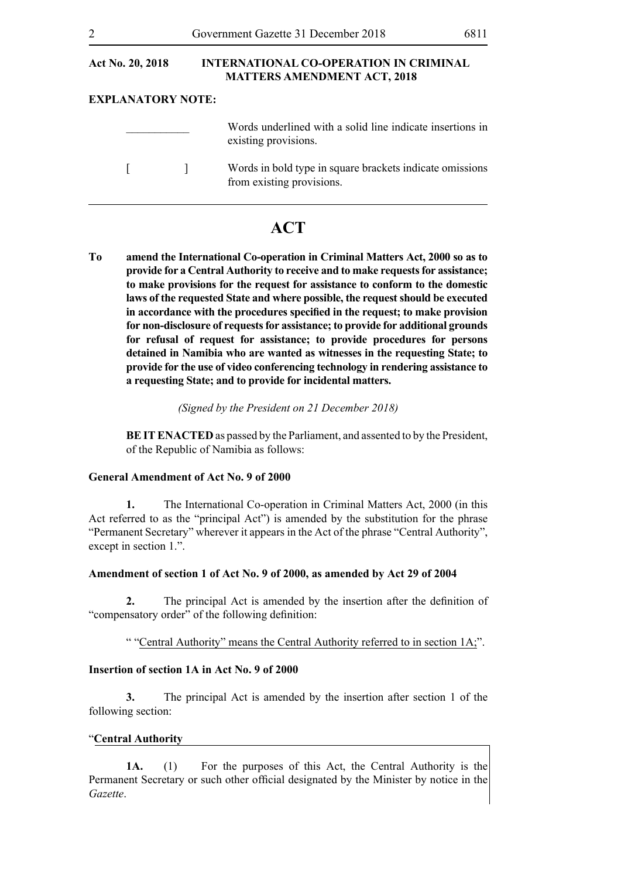| Act No. 20, 2018         | <b>INTERNATIONAL CO-OPERATION IN CRIMINAL</b><br><b>MATTERS AMENDMENT ACT, 2018</b>   |
|--------------------------|---------------------------------------------------------------------------------------|
| <b>EXPLANATORY NOTE:</b> |                                                                                       |
|                          | Words underlined with a solid line indicate insertions in<br>existing provisions.     |
|                          | Words in bold type in square brackets indicate omissions<br>from existing provisions. |

### **ACT**

**To amend the International Co-operation in Criminal Matters Act, 2000 so as to provide for a Central Authority to receive and to make requests for assistance; to make provisions for the request for assistance to conform to the domestic laws of the requested State and where possible, the request should be executed in accordance with the procedures specified in the request; to make provision for non-disclosure of requests for assistance; to provide for additional grounds for refusal of request for assistance; to provide procedures for persons detained in Namibia who are wanted as witnesses in the requesting State; to provide for the use of video conferencing technology in rendering assistance to a requesting State; and to provide for incidental matters.**

#### *(Signed by the President on 21 December 2018)*

**BEIT ENACTED** as passed by the Parliament, and assented to by the President, of the Republic of Namibia as follows:

#### **General Amendment of Act No. 9 of 2000**

**1.** The International Co-operation in Criminal Matters Act, 2000 (in this Act referred to as the "principal Act") is amended by the substitution for the phrase "Permanent Secretary" wherever it appears in the Act of the phrase "Central Authority", except in section 1.".

#### **Amendment of section 1 of Act No. 9 of 2000, as amended by Act 29 of 2004**

**2.** The principal Act is amended by the insertion after the definition of "compensatory order" of the following definition:

" "Central Authority" means the Central Authority referred to in section 1A;".

#### **Insertion of section 1A in Act No. 9 of 2000**

**3.** The principal Act is amended by the insertion after section 1 of the following section:

#### "**Central Authority**

**1A.** (1) For the purposes of this Act, the Central Authority is the Permanent Secretary or such other official designated by the Minister by notice in the *Gazette*.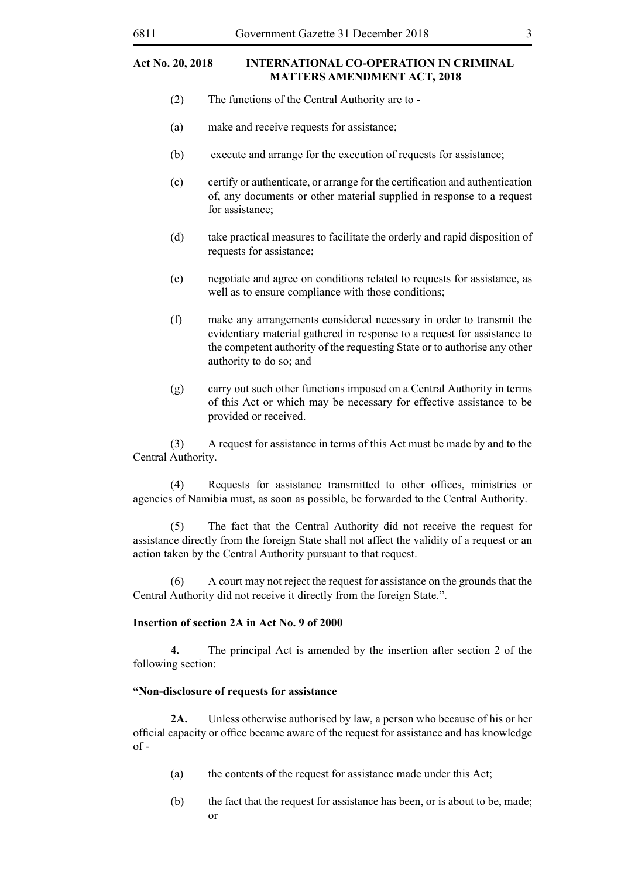- (2) The functions of the Central Authority are to -
- (a) make and receive requests for assistance;
- (b) execute and arrange for the execution of requests for assistance;
- (c) certify or authenticate, or arrange for the certification and authentication of, any documents or other material supplied in response to a request for assistance;
- (d) take practical measures to facilitate the orderly and rapid disposition of requests for assistance;
- (e) negotiate and agree on conditions related to requests for assistance, as well as to ensure compliance with those conditions;
- (f) make any arrangements considered necessary in order to transmit the evidentiary material gathered in response to a request for assistance to the competent authority of the requesting State or to authorise any other authority to do so; and
- (g) carry out such other functions imposed on a Central Authority in terms of this Act or which may be necessary for effective assistance to be provided or received.

(3) A request for assistance in terms of this Act must be made by and to the Central Authority.

(4) Requests for assistance transmitted to other offices, ministries or agencies of Namibia must, as soon as possible, be forwarded to the Central Authority.

(5) The fact that the Central Authority did not receive the request for assistance directly from the foreign State shall not affect the validity of a request or an action taken by the Central Authority pursuant to that request.

 $(6)$  A court may not reject the request for assistance on the grounds that the Central Authority did not receive it directly from the foreign State.".

#### **Insertion of section 2A in Act No. 9 of 2000**

**4.** The principal Act is amended by the insertion after section 2 of the following section:

#### **"Non-disclosure of requests for assistance**

**2A.** Unless otherwise authorised by law, a person who because of his or her official capacity or office became aware of the request for assistance and has knowledge  $of -$ 

- (a) the contents of the request for assistance made under this Act;
- (b) the fact that the request for assistance has been, or is about to be, made; or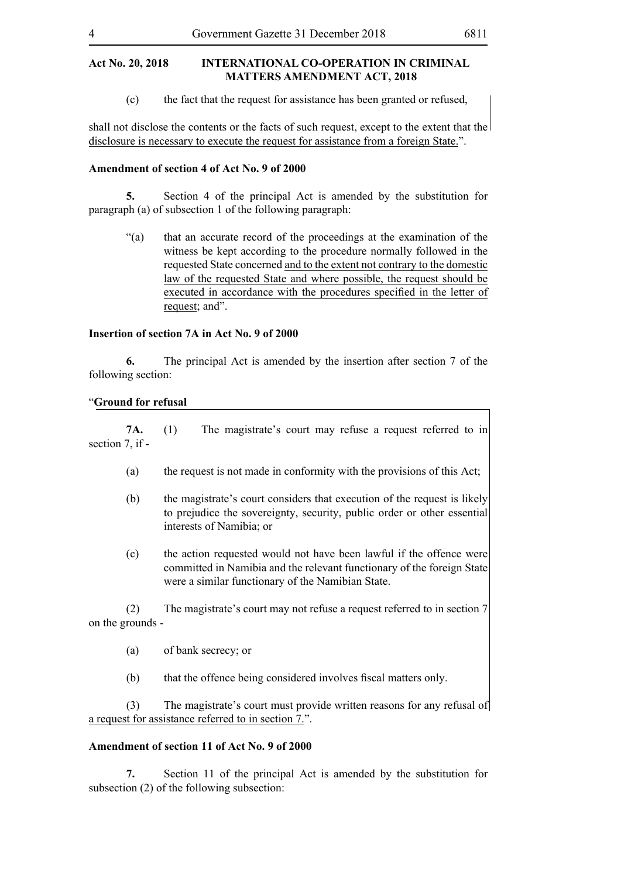(c) the fact that the request for assistance has been granted or refused,

shall not disclose the contents or the facts of such request, except to the extent that the disclosure is necessary to execute the request for assistance from a foreign State.".

#### **Amendment of section 4 of Act No. 9 of 2000**

**5.** Section 4 of the principal Act is amended by the substitution for paragraph (a) of subsection 1 of the following paragraph:

"(a) that an accurate record of the proceedings at the examination of the witness be kept according to the procedure normally followed in the requested State concerned and to the extent not contrary to the domestic law of the requested State and where possible, the request should be executed in accordance with the procedures specified in the letter of request; and".

#### **Insertion of section 7A in Act No. 9 of 2000**

**6.** The principal Act is amended by the insertion after section 7 of the following section:

#### "**Ground for refusal**

**7A.** (1) The magistrate's court may refuse a request referred to in section 7, if -

- (a) the request is not made in conformity with the provisions of this Act;
- (b) the magistrate's court considers that execution of the request is likely to prejudice the sovereignty, security, public order or other essential interests of Namibia; or
- (c) the action requested would not have been lawful if the offence were committed in Namibia and the relevant functionary of the foreign State were a similar functionary of the Namibian State.

(2) The magistrate's court may not refuse a request referred to in section 7 on the grounds -

- (a) of bank secrecy; or
- (b) that the offence being considered involves fiscal matters only.

(3) The magistrate's court must provide written reasons for any refusal of a request for assistance referred to in section 7.".

#### **Amendment of section 11 of Act No. 9 of 2000**

**7.** Section 11 of the principal Act is amended by the substitution for subsection (2) of the following subsection: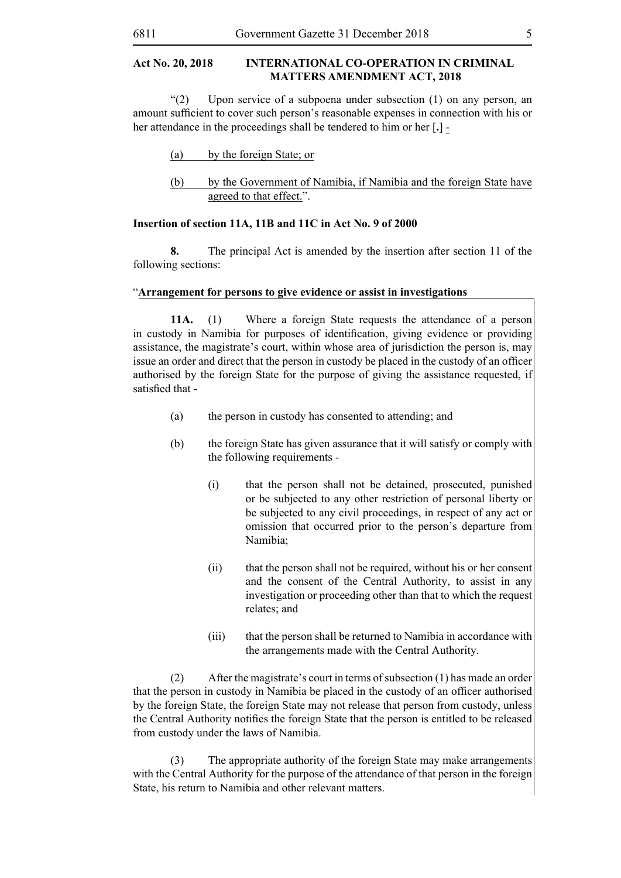"(2) Upon service of a subpoena under subsection (1) on any person, an amount sufficient to cover such person's reasonable expenses in connection with his or her attendance in the proceedings shall be tendered to him or her [**.**] -

| by the foreign State; or<br>(a) |  |
|---------------------------------|--|
|---------------------------------|--|

(b) by the Government of Namibia, if Namibia and the foreign State have agreed to that effect.".

#### **Insertion of section 11A, 11B and 11C in Act No. 9 of 2000**

**8.** The principal Act is amended by the insertion after section 11 of the following sections:

#### "**Arrangement for persons to give evidence or assist in investigations**

**11A.** (1) Where a foreign State requests the attendance of a person in custody in Namibia for purposes of identification, giving evidence or providing assistance, the magistrate's court, within whose area of jurisdiction the person is, may issue an order and direct that the person in custody be placed in the custody of an officer authorised by the foreign State for the purpose of giving the assistance requested, if satisfied that -

- (a) the person in custody has consented to attending; and
- (b) the foreign State has given assurance that it will satisfy or comply with the following requirements -
	- (i) that the person shall not be detained, prosecuted, punished or be subjected to any other restriction of personal liberty or be subjected to any civil proceedings, in respect of any act or omission that occurred prior to the person's departure from Namibia;
	- (ii) that the person shall not be required, without his or her consent and the consent of the Central Authority, to assist in any investigation or proceeding other than that to which the request relates; and
	- (iii) that the person shall be returned to Namibia in accordance with the arrangements made with the Central Authority.

(2) After the magistrate's court in terms of subsection (1) has made an order that the person in custody in Namibia be placed in the custody of an officer authorised by the foreign State, the foreign State may not release that person from custody, unless the Central Authority notifies the foreign State that the person is entitled to be released from custody under the laws of Namibia.

(3) The appropriate authority of the foreign State may make arrangements with the Central Authority for the purpose of the attendance of that person in the foreign State, his return to Namibia and other relevant matters.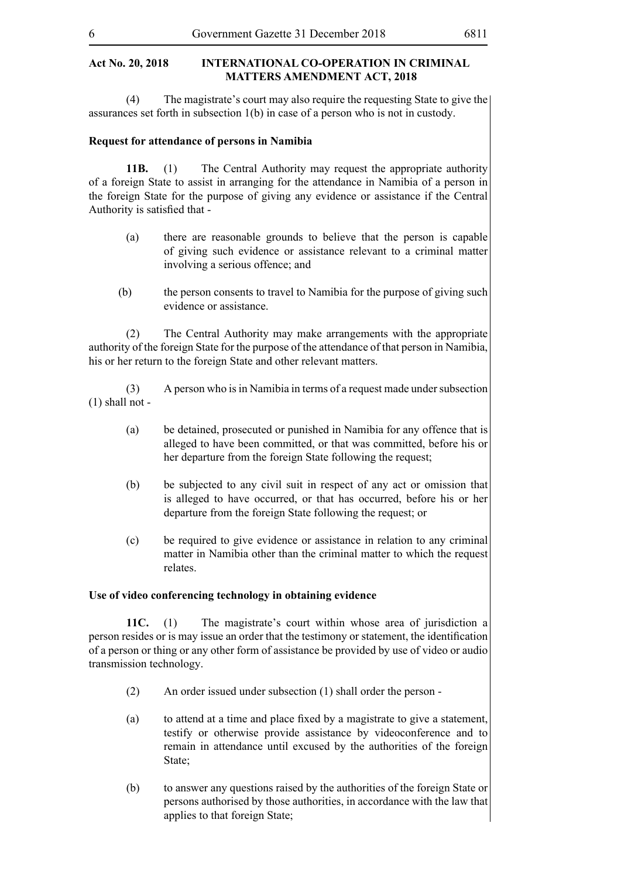(4) The magistrate's court may also require the requesting State to give the assurances set forth in subsection 1(b) in case of a person who is not in custody.

#### **Request for attendance of persons in Namibia**

**11B.** (1) The Central Authority may request the appropriate authority of a foreign State to assist in arranging for the attendance in Namibia of a person in the foreign State for the purpose of giving any evidence or assistance if the Central Authority is satisfied that -

- (a) there are reasonable grounds to believe that the person is capable of giving such evidence or assistance relevant to a criminal matter involving a serious offence; and
- (b) the person consents to travel to Namibia for the purpose of giving such evidence or assistance.

(2) The Central Authority may make arrangements with the appropriate authority of the foreign State for the purpose of the attendance of that person in Namibia, his or her return to the foreign State and other relevant matters.

(3) A person who is in Namibia in terms of a request made under subsection (1) shall not -

- (a) be detained, prosecuted or punished in Namibia for any offence that is alleged to have been committed, or that was committed, before his or her departure from the foreign State following the request;
- (b) be subjected to any civil suit in respect of any act or omission that is alleged to have occurred, or that has occurred, before his or her departure from the foreign State following the request; or
- (c) be required to give evidence or assistance in relation to any criminal matter in Namibia other than the criminal matter to which the request relates.

#### **Use of video conferencing technology in obtaining evidence**

**11C.** (1) The magistrate's court within whose area of jurisdiction a person resides or is may issue an order that the testimony or statement, the identification of a person or thing or any other form of assistance be provided by use of video or audio transmission technology.

- (2) An order issued under subsection (1) shall order the person -
- (a) to attend at a time and place fixed by a magistrate to give a statement, testify or otherwise provide assistance by videoconference and to remain in attendance until excused by the authorities of the foreign State<sup>-</sup>
- (b) to answer any questions raised by the authorities of the foreign State or persons authorised by those authorities, in accordance with the law that applies to that foreign State;